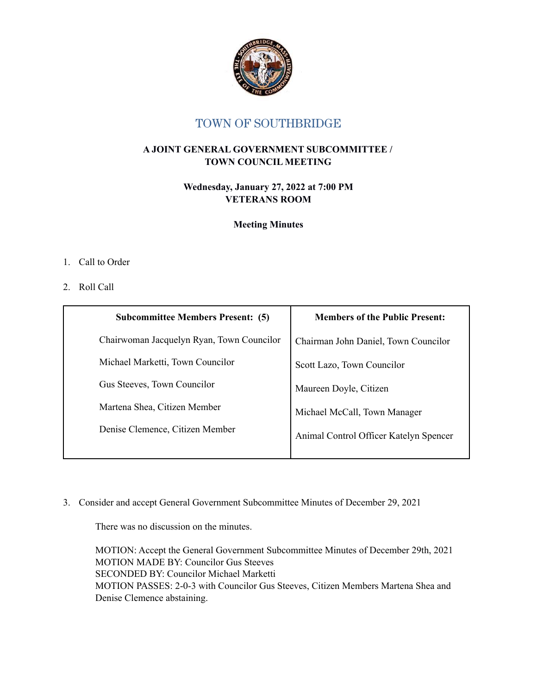

## TOWN OF SOUTHBRIDGE

## **A JOINT GENERAL GOVERNMENT SUBCOMMITTEE / TOWN COUNCIL MEETING**

**Wednesday, January 27, 2022 at 7:00 PM VETERANS ROOM**

**Meeting Minutes**

## 1. Call to Order

## 2. Roll Call

| <b>Subcommittee Members Present: (5)</b>  | <b>Members of the Public Present:</b>  |
|-------------------------------------------|----------------------------------------|
| Chairwoman Jacquelyn Ryan, Town Councilor | Chairman John Daniel, Town Councilor   |
| Michael Marketti, Town Councilor          | Scott Lazo, Town Councilor             |
| Gus Steeves, Town Councilor               | Maureen Doyle, Citizen                 |
| Martena Shea, Citizen Member              | Michael McCall, Town Manager           |
| Denise Clemence, Citizen Member           | Animal Control Officer Katelyn Spencer |

3. Consider and accept General Government Subcommittee Minutes of December 29, 2021

There was no discussion on the minutes.

MOTION: Accept the General Government Subcommittee Minutes of December 29th, 2021 MOTION MADE BY: Councilor Gus Steeves SECONDED BY: Councilor Michael Marketti MOTION PASSES: 2-0-3 with Councilor Gus Steeves, Citizen Members Martena Shea and Denise Clemence abstaining.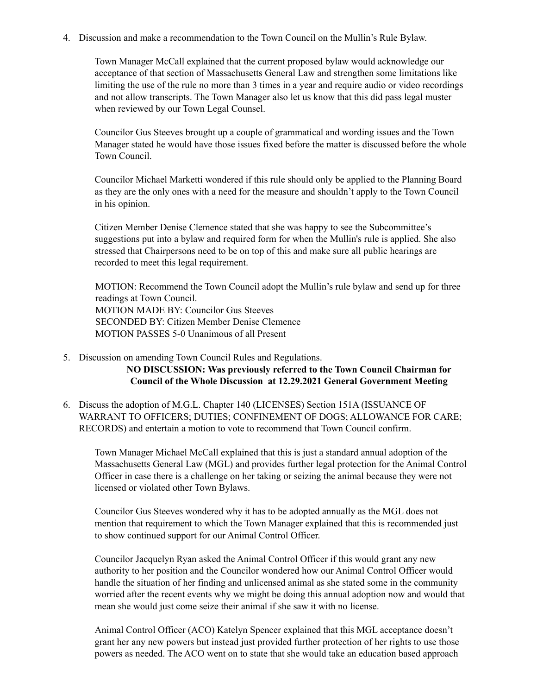4. Discussion and make a recommendation to the Town Council on the Mullin's Rule Bylaw.

Town Manager McCall explained that the current proposed bylaw would acknowledge our acceptance of that section of Massachusetts General Law and strengthen some limitations like limiting the use of the rule no more than 3 times in a year and require audio or video recordings and not allow transcripts. The Town Manager also let us know that this did pass legal muster when reviewed by our Town Legal Counsel.

Councilor Gus Steeves brought up a couple of grammatical and wording issues and the Town Manager stated he would have those issues fixed before the matter is discussed before the whole Town Council.

Councilor Michael Marketti wondered if this rule should only be applied to the Planning Board as they are the only ones with a need for the measure and shouldn't apply to the Town Council in his opinion.

Citizen Member Denise Clemence stated that she was happy to see the Subcommittee's suggestions put into a bylaw and required form for when the Mullin's rule is applied. She also stressed that Chairpersons need to be on top of this and make sure all public hearings are recorded to meet this legal requirement.

MOTION: Recommend the Town Council adopt the Mullin's rule bylaw and send up for three readings at Town Council. MOTION MADE BY: Councilor Gus Steeves SECONDED BY: Citizen Member Denise Clemence MOTION PASSES 5-0 Unanimous of all Present

5. Discussion on amending Town Council Rules and Regulations.

**NO DISCUSSION: Was previously referred to the Town Council Chairman for Council of the Whole Discussion at 12.29.2021 General Government Meeting**

6. Discuss the adoption of M.G.L. Chapter 140 (LICENSES) Section 151A (ISSUANCE OF WARRANT TO OFFICERS; DUTIES; CONFINEMENT OF DOGS; ALLOWANCE FOR CARE; RECORDS) and entertain a motion to vote to recommend that Town Council confirm.

Town Manager Michael McCall explained that this is just a standard annual adoption of the Massachusetts General Law (MGL) and provides further legal protection for the Animal Control Officer in case there is a challenge on her taking or seizing the animal because they were not licensed or violated other Town Bylaws.

Councilor Gus Steeves wondered why it has to be adopted annually as the MGL does not mention that requirement to which the Town Manager explained that this is recommended just to show continued support for our Animal Control Officer.

Councilor Jacquelyn Ryan asked the Animal Control Officer if this would grant any new authority to her position and the Councilor wondered how our Animal Control Officer would handle the situation of her finding and unlicensed animal as she stated some in the community worried after the recent events why we might be doing this annual adoption now and would that mean she would just come seize their animal if she saw it with no license.

Animal Control Officer (ACO) Katelyn Spencer explained that this MGL acceptance doesn't grant her any new powers but instead just provided further protection of her rights to use those powers as needed. The ACO went on to state that she would take an education based approach